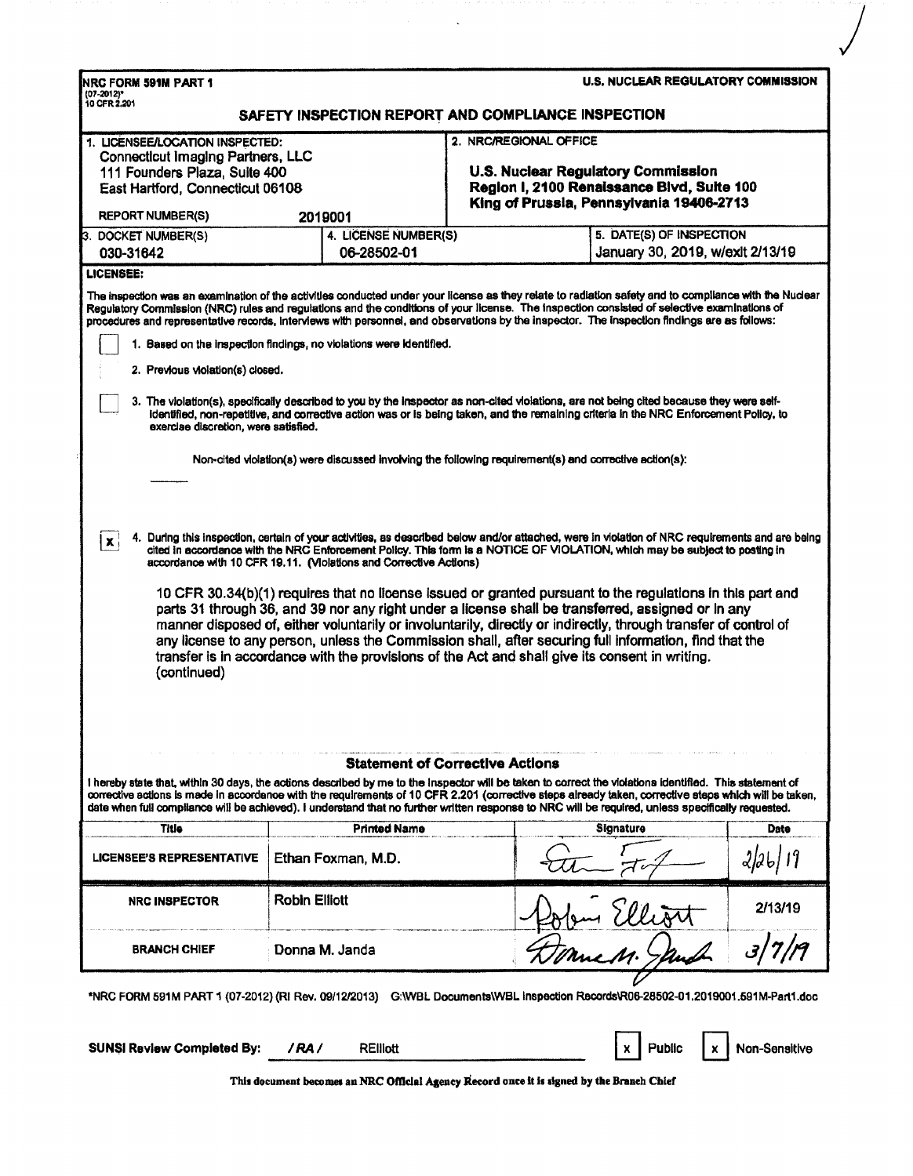| NRC FORM 591M PART 1<br>(07-2012)*                                                                                                                                          |                                                                                                                                                                                                                                                                                                                                                                                                                                                                                                                                                                                                                                                                                                                                                      |                                                                                                                                                        | <b>U.S. NUCLEAR REGULATORY COMMISSION</b>                                                                                                              |  |  |  |
|-----------------------------------------------------------------------------------------------------------------------------------------------------------------------------|------------------------------------------------------------------------------------------------------------------------------------------------------------------------------------------------------------------------------------------------------------------------------------------------------------------------------------------------------------------------------------------------------------------------------------------------------------------------------------------------------------------------------------------------------------------------------------------------------------------------------------------------------------------------------------------------------------------------------------------------------|--------------------------------------------------------------------------------------------------------------------------------------------------------|--------------------------------------------------------------------------------------------------------------------------------------------------------|--|--|--|
| 10 CFR 2.201                                                                                                                                                                | SAFETY INSPECTION REPORT AND COMPLIANCE INSPECTION                                                                                                                                                                                                                                                                                                                                                                                                                                                                                                                                                                                                                                                                                                   |                                                                                                                                                        |                                                                                                                                                        |  |  |  |
| 1. LICENSEE/LOCATION INSPECTED:<br><b>Connecticut Imaging Partners, LLC</b><br>111 Founders Plaza, Suite 400<br>East Hartford, Connecticut 06108<br><b>REPORT NUMBER(S)</b> | 2019001                                                                                                                                                                                                                                                                                                                                                                                                                                                                                                                                                                                                                                                                                                                                              | 2. NRC/REGIONAL OFFICE<br>U.S. Nuclear Regulatory Commission<br>Region I, 2100 Renaissance Blvd, Suite 100<br>King of Prussia, Pennsylvania 19406-2713 |                                                                                                                                                        |  |  |  |
| 3. DOCKET NUMBER(S)                                                                                                                                                         | 4. LICENSE NUMBER(S)                                                                                                                                                                                                                                                                                                                                                                                                                                                                                                                                                                                                                                                                                                                                 |                                                                                                                                                        | 5. DATE(S) OF INSPECTION                                                                                                                               |  |  |  |
| 030-31642                                                                                                                                                                   | 06-28502-01                                                                                                                                                                                                                                                                                                                                                                                                                                                                                                                                                                                                                                                                                                                                          |                                                                                                                                                        | January 30, 2019, w/exlt 2/13/19                                                                                                                       |  |  |  |
| 2. Previous violation(s) closed.                                                                                                                                            | Regulatory Commission (NRC) rules and regulations and the conditions of your license. The inspection consisted of selective examinations of<br>procedures and representative records, interviews with personnel, and observations by the inspector. The inspection findings are as follows:<br>1. Based on the inspection findings, no violations were identified.<br>3. The violation(s), specifically described to you by the inspector as non-cited violations, are not being cited because they were self-                                                                                                                                                                                                                                       |                                                                                                                                                        | The inspection was an examination of the activities conducted under your license as they relate to radiation safety and to compliance with the Nuclear |  |  |  |
| exercise discretion, were satisfied.                                                                                                                                        | identified, non-repetitive, and corrective action was or is being taken, and the remaining criteria in the NRC Enforcement Policy, to<br>Non-cited violation(s) were discussed involving the following requirement(s) and corrective action(s):                                                                                                                                                                                                                                                                                                                                                                                                                                                                                                      |                                                                                                                                                        |                                                                                                                                                        |  |  |  |
| $\mathbf{x}$<br>(continued)                                                                                                                                                 | cited in accordance with the NRC Enforcement Policy. This form is a NOTICE OF VIOLATION, which may be subject to posting in<br>accordance with 10 CFR 19.11. (Violations and Corrective Actions)<br>10 CFR 30.34(b)(1) requires that no license issued or granted pursuant to the regulations in this part and<br>parts 31 through 36, and 39 nor any right under a license shall be transferred, assigned or in any<br>manner disposed of, either voluntarily or involuntarily, directly or indirectly, through transfer of control of<br>any license to any person, unless the Commission shall, after securing full information, find that the<br>transfer is in accordance with the provisions of the Act and shall give its consent in writing. |                                                                                                                                                        | 4. During this inspection, certain of your activities, as described below and/or attached, were in violation of NRC requirements and are being         |  |  |  |
|                                                                                                                                                                             | I hereby state that, within 30 days, the actions described by me to the inspector will be taken to correct the violations identified. This statement of<br>date when full compliance will be achieved). I understand that no further written response to NRC will be required, unless specifically requested.                                                                                                                                                                                                                                                                                                                                                                                                                                        | <b>Statement of Corrective Actions</b>                                                                                                                 | corrective actions is made in accordance with the requirements of 10 CFR 2.201 (corrective steps already taken, corrective steps which will be taken,  |  |  |  |
| Title                                                                                                                                                                       | <b>Printed Name</b>                                                                                                                                                                                                                                                                                                                                                                                                                                                                                                                                                                                                                                                                                                                                  |                                                                                                                                                        | Signature<br>Date                                                                                                                                      |  |  |  |
| <b>LICENSEE'S REPRESENTATIVE</b>                                                                                                                                            | Ethan Foxman, M.D.                                                                                                                                                                                                                                                                                                                                                                                                                                                                                                                                                                                                                                                                                                                                   |                                                                                                                                                        |                                                                                                                                                        |  |  |  |
| <b>NRC INSPECTOR</b>                                                                                                                                                        | <b>Robin Elliott</b>                                                                                                                                                                                                                                                                                                                                                                                                                                                                                                                                                                                                                                                                                                                                 |                                                                                                                                                        | 2/13/19                                                                                                                                                |  |  |  |
|                                                                                                                                                                             |                                                                                                                                                                                                                                                                                                                                                                                                                                                                                                                                                                                                                                                                                                                                                      |                                                                                                                                                        |                                                                                                                                                        |  |  |  |

 $\ddot{\phantom{a}}$ 

*)* 

| <b>SUNSI Review Completed By: / RA/</b> | <b>RElliott</b> |  |  | $\begin{array}{ c c c c c }\n\hline\n x & \hline\n\end{array}$ Public $\begin{array}{ c c c c c }\n\hline\n x & \hline\n\end{array}$ Non-Sensitive |
|-----------------------------------------|-----------------|--|--|----------------------------------------------------------------------------------------------------------------------------------------------------|
|                                         |                 |  |  |                                                                                                                                                    |

This document becomes an NRC Official Agency Record once it is signed by the Branch Chief